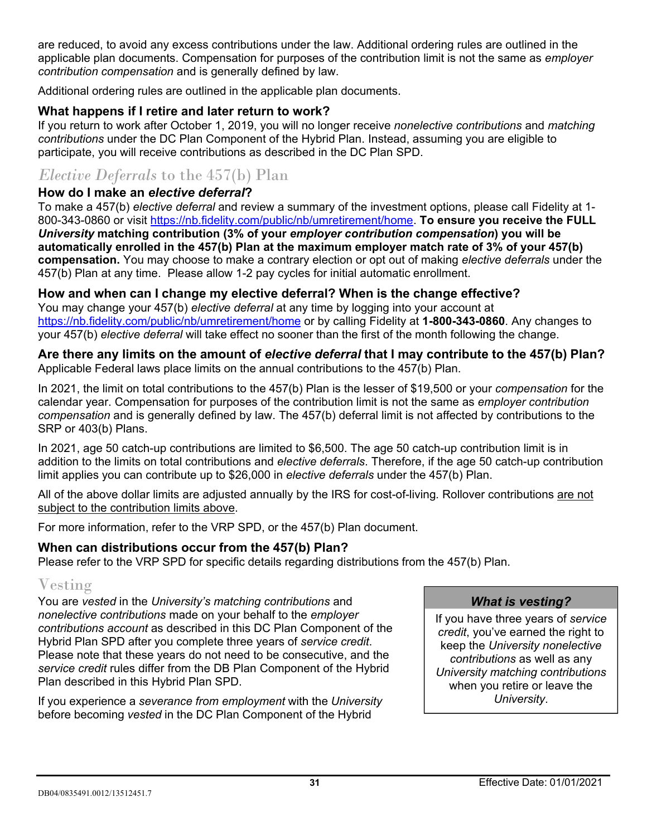are reduced, to avoid any excess contributions under the law. Additional ordering rules are outlined in the applicable plan documents. Compensation for purposes of the contribution limit is not the same as *employer contribution compensation* and is generally defined by law.

Additional ordering rules are outlined in the applicable plan documents.

### **What happens if I retire and later return to work?**

If you return to work after October 1, 2019, you will no longer receive *nonelective contributions* and *matching contributions* under the DC Plan Component of the Hybrid Plan. Instead, assuming you are eligible to participate, you will receive contributions as described in the DC Plan SPD.

# *Elective Deferrals* to the 457(b) Plan

### **How do I make an** *elective deferral***?**

To make a 457(b) *elective deferral* and review a summary of the investment options, please call Fidelity at 1- 800-343-0860 or visit [https://nb.fidelity.com/public/nb/umretirement/home.](https://nb.fidelity.com/public/nb/umretirement/home) **To ensure you receive the FULL** *University* **matching contribution (3% of your** *employer contribution compensation***) you will be automatically enrolled in the 457(b) Plan at the maximum employer match rate of 3% of your 457(b) compensation.** You may choose to make a contrary election or opt out of making *elective deferrals* under the 457(b) Plan at any time. Please allow 1-2 pay cycles for initial automatic enrollment.

### **How and when can I change my elective deferral? When is the change effective?**

You may change your 457(b) *elective deferral* at any time by logging into your account at [https://nb.fidelity.com/public/nb/umretirement/home](http://www.netbenefits.com/umretirement) or by calling Fidelity at **1-800-343-0860**. Any changes to your 457(b) *elective deferral* will take effect no sooner than the first of the month following the change.

#### **Are there any limits on the amount of** *elective deferral* **that I may contribute to the 457(b) Plan?** Applicable Federal laws place limits on the annual contributions to the 457(b) Plan.

In 2021, the limit on total contributions to the 457(b) Plan is the lesser of \$19,500 or your *compensation* for the calendar year. Compensation for purposes of the contribution limit is not the same as *employer contribution compensation* and is generally defined by law. The 457(b) deferral limit is not affected by contributions to the SRP or 403(b) Plans.

In 2021, age 50 catch-up contributions are limited to \$6,500. The age 50 catch-up contribution limit is in addition to the limits on total contributions and *elective deferrals*. Therefore, if the age 50 catch-up contribution limit applies you can contribute up to \$26,000 in *elective deferrals* under the 457(b) Plan.

All of the above dollar limits are adjusted annually by the IRS for cost-of-living*.* Rollover contributions are not subject to the contribution limits above.

For more information, refer to the VRP SPD, or the 457(b) Plan document.

### **When can distributions occur from the 457(b) Plan?**

Please refer to the VRP SPD for specific details regarding distributions from the 457(b) Plan.

# Vesting

You are *vested* in the *University's matching contributions* and *nonelective contributions* made on your behalf to the *employer contributions account* as described in this DC Plan Component of the Hybrid Plan SPD after you complete three years of *service credit*. Please note that these years do not need to be consecutive, and the *service credit* rules differ from the DB Plan Component of the Hybrid Plan described in this Hybrid Plan SPD.

If you experience a *severance from employment* with the *University* before becoming *vested* in the DC Plan Component of the Hybrid

#### *What is vesting?*

If you have three years of *service credit*, you've earned the right to keep the *University nonelective contributions* as well as any *University matching contributions* when you retire or leave the *University*.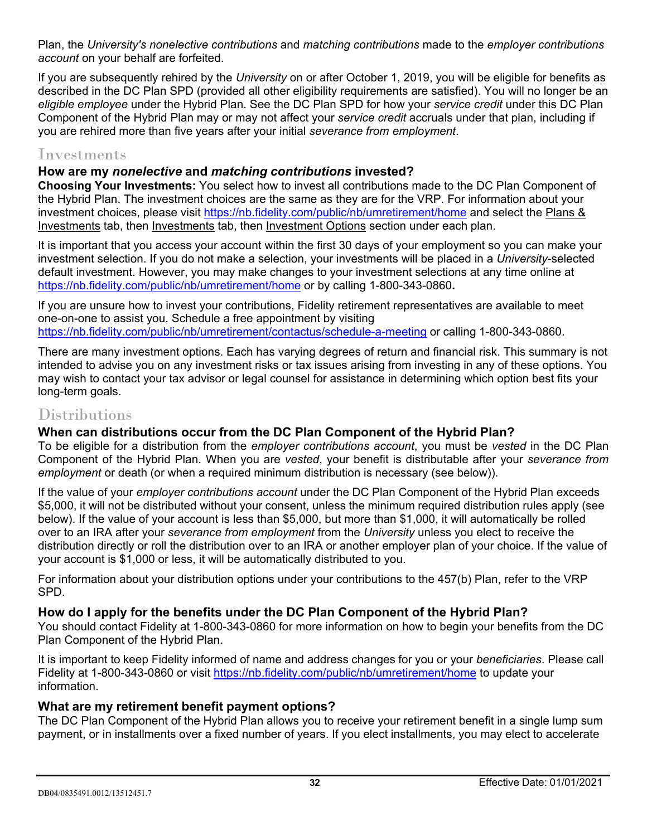Plan, the *University's nonelective contributions* and *matching contributions* made to the *employer contributions account* on your behalf are forfeited.

If you are subsequently rehired by the *University* on or after October 1, 2019, you will be eligible for benefits as described in the DC Plan SPD (provided all other eligibility requirements are satisfied). You will no longer be an *eligible employee* under the Hybrid Plan. See the DC Plan SPD for how your *service credit* under this DC Plan Component of the Hybrid Plan may or may not affect your *service credit* accruals under that plan, including if you are rehired more than five years after your initial *severance from employment*.

# Investments

### **How are my** *nonelective* **and** *matching contributions* **invested?**

**Choosing Your Investments:** You select how to invest all contributions made to the DC Plan Component of the Hybrid Plan. The investment choices are the same as they are for the VRP. For information about your investment choices, please visit<https://nb.fidelity.com/public/nb/umretirement/home> and select the Plans & Investments tab, then Investments tab, then Investment Options section under each plan.

It is important that you access your account within the first 30 days of your employment so you can make your investment selection. If you do not make a selection, your investments will be placed in a *University*-selected default investment. However, you may make changes to your investment selections at any time online at https://nb.fidelity.com/public/nb/umretirement/home or by calling 1-800-343-0860**.** 

If you are unsure how to invest your contributions, Fidelity retirement representatives are available to meet one-on-one to assist you. Schedule a free appointment by visiting <https://nb.fidelity.com/public/nb/umretirement/contactus/schedule-a-meeting> or calling 1-800-343-0860.

There are many investment options. Each has varying degrees of return and financial risk. This summary is not intended to advise you on any investment risks or tax issues arising from investing in any of these options. You may wish to contact your tax advisor or legal counsel for assistance in determining which option best fits your long-term goals.

# Distributions

## **When can distributions occur from the DC Plan Component of the Hybrid Plan?**

To be eligible for a distribution from the *employer contributions account*, you must be *vested* in the DC Plan Component of the Hybrid Plan. When you are *vested*, your benefit is distributable after your *severance from employment* or death (or when a required minimum distribution is necessary (see below)).

If the value of your *employer contributions account* under the DC Plan Component of the Hybrid Plan exceeds \$5,000, it will not be distributed without your consent, unless the minimum required distribution rules apply (see below). If the value of your account is less than \$5,000, but more than \$1,000, it will automatically be rolled over to an IRA after your *severance from employment* from the *University* unless you elect to receive the distribution directly or roll the distribution over to an IRA or another employer plan of your choice. If the value of your account is \$1,000 or less, it will be automatically distributed to you.

For information about your distribution options under your contributions to the 457(b) Plan, refer to the VRP SPD.

## **How do I apply for the benefits under the DC Plan Component of the Hybrid Plan?**

You should contact Fidelity at 1-800-343-0860 for more information on how to begin your benefits from the DC Plan Component of the Hybrid Plan.

It is important to keep Fidelity informed of name and address changes for you or your *beneficiaries*. Please call Fidelity at 1-800-343-0860 or visit<https://nb.fidelity.com/public/nb/umretirement/home> to update your information.

### **What are my retirement benefit payment options?**

The DC Plan Component of the Hybrid Plan allows you to receive your retirement benefit in a single lump sum payment, or in installments over a fixed number of years. If you elect installments, you may elect to accelerate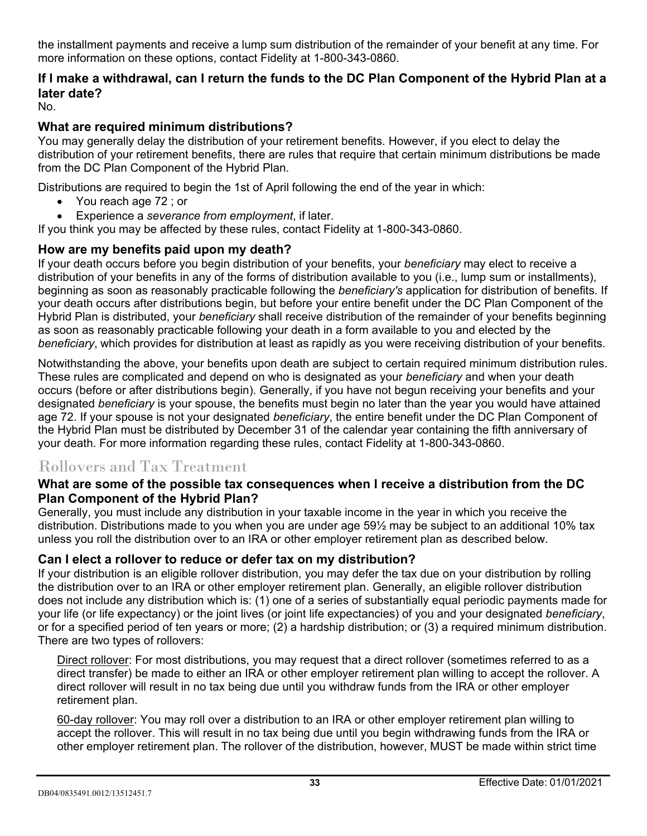the installment payments and receive a lump sum distribution of the remainder of your benefit at any time. For more information on these options, contact Fidelity at 1-800-343-0860.

# **If I make a withdrawal, can I return the funds to the DC Plan Component of the Hybrid Plan at a later date?**

No.

### **What are required minimum distributions?**

You may generally delay the distribution of your retirement benefits. However, if you elect to delay the distribution of your retirement benefits, there are rules that require that certain minimum distributions be made from the DC Plan Component of the Hybrid Plan.

Distributions are required to begin the 1st of April following the end of the year in which:

- You reach age 72; or
- Experience a *severance from employment*, if later.

If you think you may be affected by these rules, contact Fidelity at 1-800-343-0860.

### **How are my benefits paid upon my death?**

If your death occurs before you begin distribution of your benefits, your *beneficiary* may elect to receive a distribution of your benefits in any of the forms of distribution available to you (i.e., lump sum or installments), beginning as soon as reasonably practicable following the *beneficiary's* application for distribution of benefits. If your death occurs after distributions begin, but before your entire benefit under the DC Plan Component of the Hybrid Plan is distributed, your *beneficiary* shall receive distribution of the remainder of your benefits beginning as soon as reasonably practicable following your death in a form available to you and elected by the *beneficiary*, which provides for distribution at least as rapidly as you were receiving distribution of your benefits.

Notwithstanding the above, your benefits upon death are subject to certain required minimum distribution rules. These rules are complicated and depend on who is designated as your *beneficiary* and when your death occurs (before or after distributions begin). Generally, if you have not begun receiving your benefits and your designated *beneficiary* is your spouse, the benefits must begin no later than the year you would have attained age 72. If your spouse is not your designated *beneficiary*, the entire benefit under the DC Plan Component of the Hybrid Plan must be distributed by December 31 of the calendar year containing the fifth anniversary of your death. For more information regarding these rules, contact Fidelity at 1-800-343-0860.

# Rollovers and Tax Treatment

### **What are some of the possible tax consequences when I receive a distribution from the DC Plan Component of the Hybrid Plan?**

Generally, you must include any distribution in your taxable income in the year in which you receive the distribution. Distributions made to you when you are under age 59½ may be subject to an additional 10% tax unless you roll the distribution over to an IRA or other employer retirement plan as described below.

### **Can I elect a rollover to reduce or defer tax on my distribution?**

If your distribution is an eligible rollover distribution, you may defer the tax due on your distribution by rolling the distribution over to an IRA or other employer retirement plan. Generally, an eligible rollover distribution does not include any distribution which is: (1) one of a series of substantially equal periodic payments made for your life (or life expectancy) or the joint lives (or joint life expectancies) of you and your designated *beneficiary*, or for a specified period of ten years or more; (2) a hardship distribution; or (3) a required minimum distribution. There are two types of rollovers:

Direct rollover: For most distributions, you may request that a direct rollover (sometimes referred to as a direct transfer) be made to either an IRA or other employer retirement plan willing to accept the rollover. A direct rollover will result in no tax being due until you withdraw funds from the IRA or other employer retirement plan.

60-day rollover: You may roll over a distribution to an IRA or other employer retirement plan willing to accept the rollover. This will result in no tax being due until you begin withdrawing funds from the IRA or other employer retirement plan. The rollover of the distribution, however, MUST be made within strict time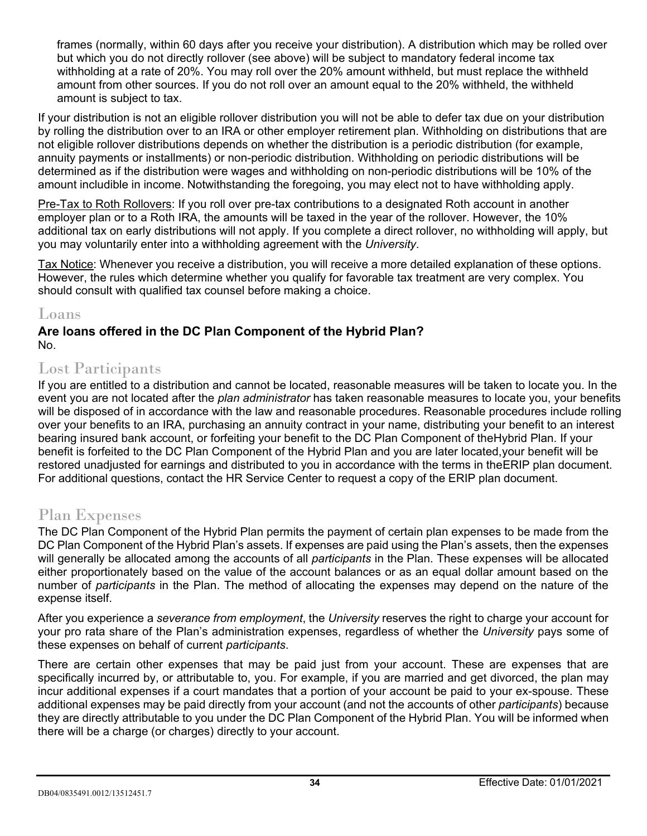frames (normally, within 60 days after you receive your distribution). A distribution which may be rolled over but which you do not directly rollover (see above) will be subject to mandatory federal income tax withholding at a rate of 20%. You may roll over the 20% amount withheld, but must replace the withheld amount from other sources. If you do not roll over an amount equal to the 20% withheld, the withheld amount is subject to tax.

If your distribution is not an eligible rollover distribution you will not be able to defer tax due on your distribution by rolling the distribution over to an IRA or other employer retirement plan. Withholding on distributions that are not eligible rollover distributions depends on whether the distribution is a periodic distribution (for example, annuity payments or installments) or non-periodic distribution. Withholding on periodic distributions will be determined as if the distribution were wages and withholding on non-periodic distributions will be 10% of the amount includible in income. Notwithstanding the foregoing, you may elect not to have withholding apply.

Pre-Tax to Roth Rollovers: If you roll over pre-tax contributions to a designated Roth account in another employer plan or to a Roth IRA, the amounts will be taxed in the year of the rollover. However, the 10% additional tax on early distributions will not apply. If you complete a direct rollover, no withholding will apply, but you may voluntarily enter into a withholding agreement with the *University*.

Tax Notice: Whenever you receive a distribution, you will receive a more detailed explanation of these options. However, the rules which determine whether you qualify for favorable tax treatment are very complex. You should consult with qualified tax counsel before making a choice.

# Loans

#### **Are loans offered in the DC Plan Component of the Hybrid Plan?** No.

# Lost Participants

If you are entitled to a distribution and cannot be located, reasonable measures will be taken to locate you. In the event you are not located after the *plan administrator* has taken reasonable measures to locate you, your benefits will be disposed of in accordance with the law and reasonable procedures. Reasonable procedures include rolling over your benefits to an IRA, purchasing an annuity contract in your name, distributing your benefit to an interest bearing insured bank account, or forfeiting your benefit to the DC Plan Component of theHybrid Plan. If your benefit is forfeited to the DC Plan Component of the Hybrid Plan and you are later located,your benefit will be restored unadjusted for earnings and distributed to you in accordance with the terms in theERIP plan document. For additional questions, contact the HR Service Center to request a copy of the ERIP plan document.

# Plan Expenses

The DC Plan Component of the Hybrid Plan permits the payment of certain plan expenses to be made from the DC Plan Component of the Hybrid Plan's assets. If expenses are paid using the Plan's assets, then the expenses will generally be allocated among the accounts of all *participants* in the Plan. These expenses will be allocated either proportionately based on the value of the account balances or as an equal dollar amount based on the number of *participants* in the Plan. The method of allocating the expenses may depend on the nature of the expense itself.

After you experience a *severance from employment*, the *University* reserves the right to charge your account for your pro rata share of the Plan's administration expenses, regardless of whether the *University* pays some of these expenses on behalf of current *participants*.

There are certain other expenses that may be paid just from your account. These are expenses that are specifically incurred by, or attributable to, you. For example, if you are married and get divorced, the plan may incur additional expenses if a court mandates that a portion of your account be paid to your ex-spouse. These additional expenses may be paid directly from your account (and not the accounts of other *participants*) because they are directly attributable to you under the DC Plan Component of the Hybrid Plan. You will be informed when there will be a charge (or charges) directly to your account.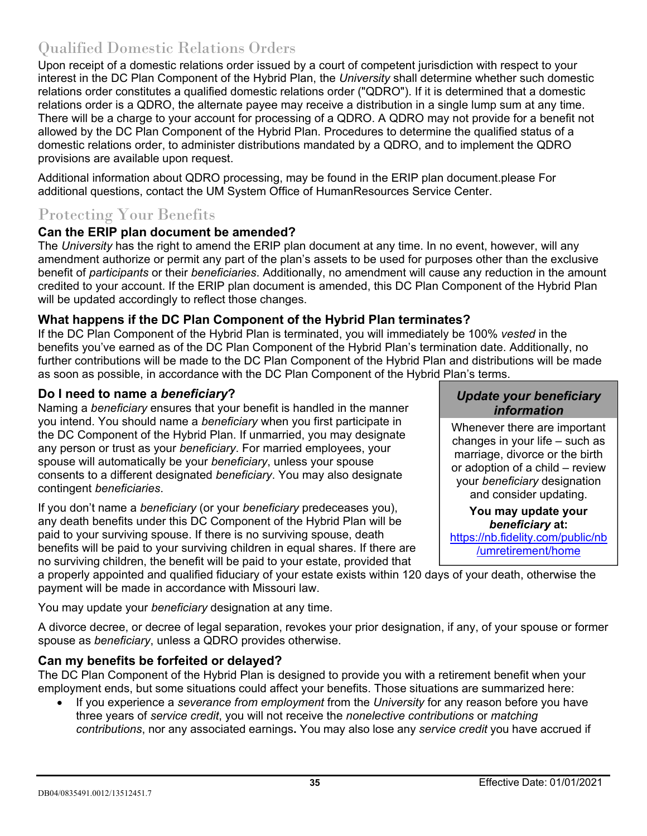# Qualified Domestic Relations Orders

Upon receipt of a domestic relations order issued by a court of competent jurisdiction with respect to your interest in the DC Plan Component of the Hybrid Plan, the *University* shall determine whether such domestic relations order constitutes a qualified domestic relations order ("QDRO"). If it is determined that a domestic relations order is a QDRO, the alternate payee may receive a distribution in a single lump sum at any time. There will be a charge to your account for processing of a QDRO. A QDRO may not provide for a benefit not allowed by the DC Plan Component of the Hybrid Plan. Procedures to determine the qualified status of a domestic relations order, to administer distributions mandated by a QDRO, and to implement the QDRO provisions are available upon request.

Additional information about QDRO processing, may be found in the ERIP plan document.please For additional questions, contact the UM System Office of HumanResources Service Center.

# Protecting Your Benefits

# **Can the ERIP plan document be amended?**

The *University* has the right to amend the ERIP plan document at any time. In no event, however, will any amendment authorize or permit any part of the plan's assets to be used for purposes other than the exclusive benefit of *participants* or their *beneficiaries*. Additionally, no amendment will cause any reduction in the amount credited to your account. If the ERIP plan document is amended, this DC Plan Component of the Hybrid Plan will be updated accordingly to reflect those changes.

# **What happens if the DC Plan Component of the Hybrid Plan terminates?**

If the DC Plan Component of the Hybrid Plan is terminated, you will immediately be 100% *vested* in the benefits you've earned as of the DC Plan Component of the Hybrid Plan's termination date. Additionally, no further contributions will be made to the DC Plan Component of the Hybrid Plan and distributions will be made as soon as possible, in accordance with the DC Plan Component of the Hybrid Plan's terms.

## **Do I need to name a** *beneficiary***?**

Naming a *beneficiary* ensures that your benefit is handled in the manner you intend. You should name a *beneficiary* when you first participate in the DC Component of the Hybrid Plan. If unmarried, you may designate any person or trust as your *beneficiary*. For married employees, your spouse will automatically be your *beneficiary*, unless your spouse consents to a different designated *beneficiary*. You may also designate contingent *beneficiaries*.

If you don't name a *beneficiary* (or your *beneficiary* predeceases you), any death benefits under this DC Component of the Hybrid Plan will be paid to your surviving spouse. If there is no surviving spouse, death benefits will be paid to your surviving children in equal shares. If there are no surviving children, the benefit will be paid to your estate, provided that

a properly appointed and qualified fiduciary of your estate exists within 120 days of your death, otherwise the payment will be made in accordance with Missouri law.

You may update your *beneficiary* designation at any time.

A divorce decree, or decree of legal separation, revokes your prior designation, if any, of your spouse or former spouse as *beneficiary*, unless a QDRO provides otherwise.

# **Can my benefits be forfeited or delayed?**

The DC Plan Component of the Hybrid Plan is designed to provide you with a retirement benefit when your employment ends, but some situations could affect your benefits. Those situations are summarized here:

• If you experience a *severance from employment* from the *University* for any reason before you have three years of *service credit*, you will not receive the *nonelective contributions* or *matching contributions*, nor any associated earnings**.** You may also lose any *service credit* you have accrued if

### *Update your beneficiary information*

Whenever there are important changes in your life – such as marriage, divorce or the birth or adoption of a child – review your *beneficiary* designation and consider updating.

#### **You may update your** *beneficiary* **at:**  [https://nb.fidelity.com/public/nb](http://www.netbenefits.com/umretirement) [/umretirement/home](http://www.netbenefits.com/umretirement)